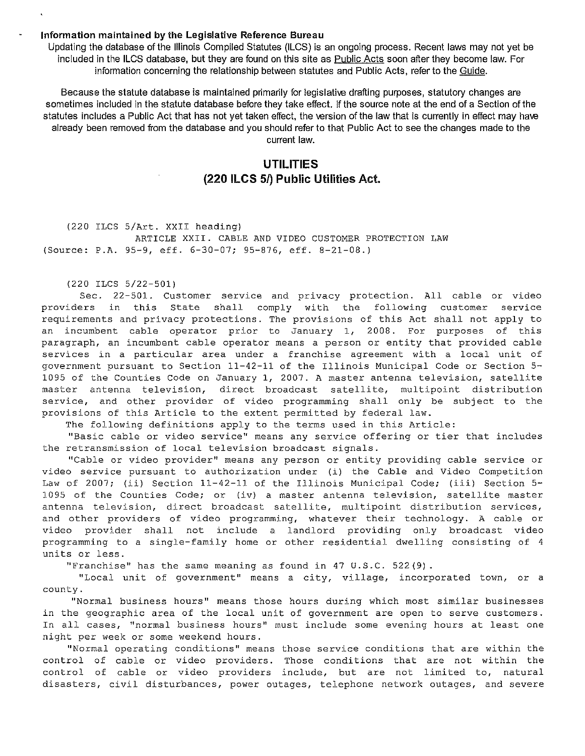## Information maintained by the Legislative Reference Bureau

Updating the database of the Illinois Compiled Statutes {ILCS) is an ongoing process. Recent laws may not yet be included in the ILCS database, but they are found on this site as Public Acts soon after they become law. For information concerning the relationship between statutes and Public Acts, refer to the Guide.

Because the statute database is maintained primarily for legislative drafting purposes, statutory changes are sometimes included in the statute database before they take effect. If the source note at the end of a Section of the statutes includes a Public Act that has not yet taken effect, the version of the law that is currently in effect may have already been removed from the database and you should refer to that Public Act to see the changes made to the current law.

## UTILITIES (220 ILCS 5/) Public Utilities Act.

(220 ILCS 5/Art. XXII heading) ARTICLE XXII. CABLE AND VIDEO CUSTOMER PROTECTION LAW (Source: P.A. 95-9, eff. 6-30-07; 95-876, eff. 8-21-08.)

(220 ILCS 5/22-501)

Sec. 22-501. Customer service and privacy protection. All cable or video providers in this State shall comply with the following customer service requirements and privacy protections. The provisions of this Act shall not apply to an incumbent cable operator prior to January 1, 2008. For purposes of this paragraph, an incumbent cable operator means a person or entity that provided cable services in a particular area under a franchise agreement with a local unit of government pursuant to Section 11-42-11 of the Illinois Municipal Code or Section 5- 1095 of the Counties Code on January 1, 2007. A master antenna television, satellite master antenna television, direct broadcast satellite, multipoint distribution service, and other provider of video programming shall only be subject to the provisions of this Article to the extent permitted by federal law.

The following definitions apply to the terms used in this Article:

"Basic cable or video service" means any service offering or tier that includes the retransmission of local television broadcast signals.

"Cable or video provider" means any person or entity providing cable service or video service pursuant to authorization under (i) the Cable and Video Competition Law of 2007; (ii) Section 11-42-11 of the Illinois Municipal Code; (iii) Section 5-1095 of the Counties Code; or (iv) a master antenna television, satellite master antenna television, direct broadcast satellite, multipoint distribution services, and other providers of video programming, whatever their technology. A cable or video provider shall not include a landlord providing only broadcast video programming to a single-family home or other residential dwelling consisting of 4 units or less.

"Franchise" has the same meaning as found in 47 U.S.C. 522(9).

"Local unit of government" means a city, village, incorporated town, or a county.

"Normal business hours" means those hours during which most similar businesses in the geographic area of the local unit of government are open to serve customers. In all cases, "normal business hours" must include some evening hours at least one night per week or some weekend hours.

"Normal operating conditions" means those service conditions that are within the control of cable or video providers. Those conditions that are not within the control of cable or video providers include, but are not limited to, natural disasters, civil disturbances, power outages, telephone network outages, and severe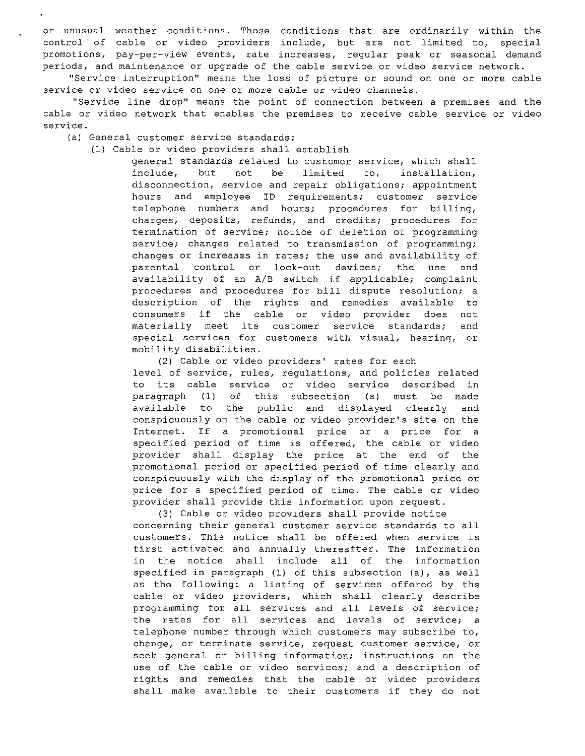or unusual weather conditions. Those conditions that are ordinarily within the control of cable or video providers include, but are not limited to, special promotions, pay-per-view events, rate increases, regular peak or seasonal demand periods, and maintenance or upgrade of the cable service or video service network.

"Service interruption" means the loss of picture or sound on one or more cable service or video service on one or more cable or video channels.

"Service line drop" means the point of connection between a premises and the cable or video network that enables the premises to receive cable service or video service.

(a) General customer service standards:

## (1) Cable or video providers shall establish

general standards related to customer service, which shall include, but not be limited to, installation, disconnection, service and repair obligations; appointment hours and employee ID requirements; customer service telephone numbers and hours; procedures for billing, charges, deposits, refunds, and credits; procedures for termination of service; notice of deletion of programming service; changes related to transmission of programming; changes or increases in rates; the use and availability of parental control or lock-out devices; the use and availability of an A/B switch if applicable; complaint procedures and procedures for bill dispute resolution; a description of the rights and remedies available to consumers if the cable or video provider does not materially meet its customer service standards; and special services for customers with visual, hearing, or mobility disabilities.

(2) Cable or video providers' rates for each level of service, rules, regulations, and policies related to its cable service or video service described in paragraph (1) of this subsection (a) must be made available to the public and displayed clearly and conspicuously on the cable or video provider's site on the Internet. If a promotional price or a price for a specified period of time is offered, the cable or video provider shall display the price at the end of the promotional period or specified period of time clearly and conspicuously with the display of the promotional price or price for a specified period of time. The cable or video provider shall provide this information upon request.

(3) Cable or video providers shall provide notice concerning their general customer service standards to all customers. This notice shall be offered when service is first activated and annually thereafter. The information in the notice shall include all of the information specified in paragraph (1) of this subsection (a), as well as the following: a listing of services offered by the cable or video providers, which shall clearly describe programming for all services and all levels of service; the rates for all services and levels of service; a telephone number through which customers may subscribe to, change, or terminate service, request customer service, or seek general or billing information; instructions on the use of the cable or video services; and a description of rights and remedies that the cable or video providers shall make available to their customers if they do not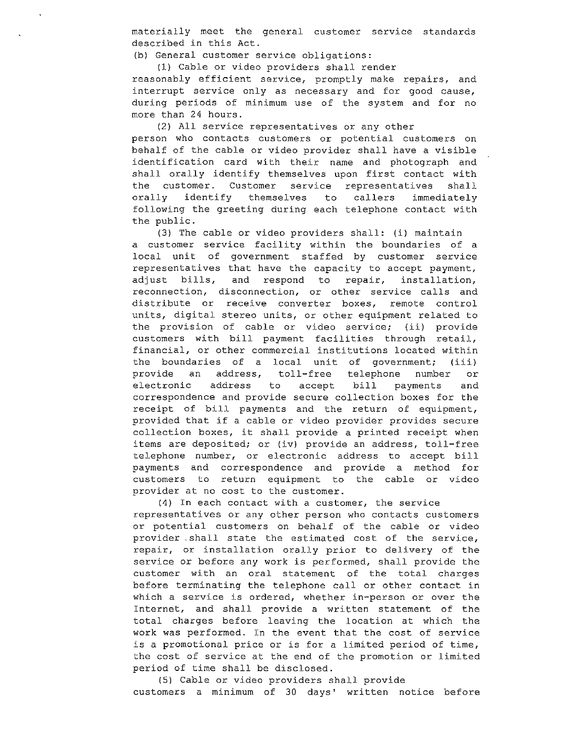materially meet the general customer service standards described in this Act.

(b) General customer service obligations:

(1) Cable or video providers shall render reasonably efficient service, promptly make repairs, and interrupt service only as necessary and for good cause, during periods of minimum use of the system and for no more than 24 hours.

(2) All service representatives or any other person who contacts customers or potential customers on behalf of the cable or video provider shall have a visible identification card with their name and photograph and shall orally identify themselves upon first contact with the customer. Customer service representatives shall orally identify themselves to callers immediately following the greeting during each telephone contact with the public.

(3) The cable or video providers shall: (i) maintain a customer service facility within the boundaries of a local unit of government staffed by customer service representatives that have the capacity to accept payment, adjust bills, and respond to repair, installation, reconnection, disconnection, or other service calls and distribute or receive converter boxes, remote control units, digital stereo units, or other equipment related to the provision of cable or video service; (ii) provide customers with bill payment facilities through retail, financial, or other commercial institutions located within the boundaries of a local unit of government; (iii) provide an address, toll-free telephone number or electronic address to accept bill payments and correspondence and provide secure collection boxes for the receipt of bill payments and the return of equipment, provided that if a cable or video provider provides secure collection boxes, it shall provide a printed receipt when items are deposited; or (iv) provide an address, toll-free telephone number, or electronic address to accept bill payments and correspondence and provide a method for customers to return equipment to the cable or video provider at no cost to the customer.

(4) In each contact with a customer, the service representatives or any other person who contacts customers or potential customers on behalf of the cable or video provider , shall state the estimated cost of the service, repair, or installation orally prior to delivery of the service or before any work is performed, shall provide the customer with an oral statement of the total charges before terminating the telephone call or other contact in which a service is ordered, whether in-person or over the Internet, and shall provide a written statement of the total charges before leaving the location at which the work was performed. In the event that the cost of service is a promotional price or is for a limited period of time, the cost of service at the end of the promotion or limited period of time shall be disclosed.

(5) Cable or video providers shall provide customers a minimum of 30 days' written notice before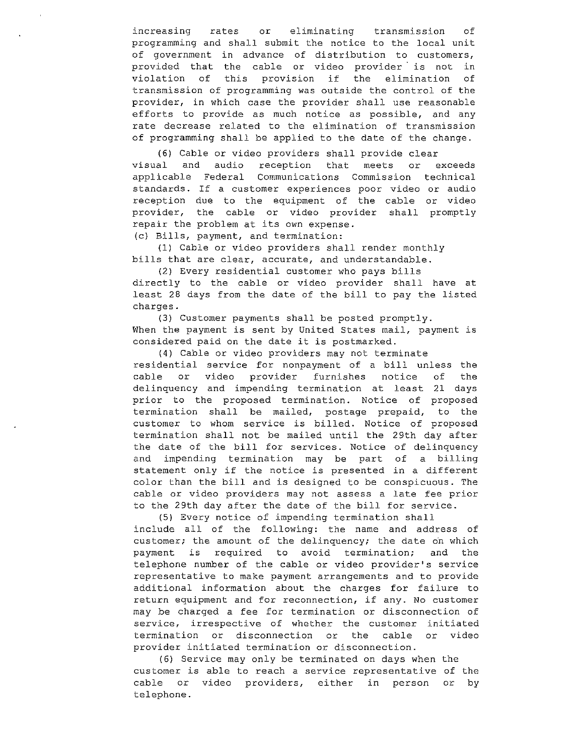increasing rates or eliminating transmission of programming and shall submit the notice to the local unit of government in advance of distribution to customers, provided that the cable or video provider is not in<br>violation of this provision if the elimination of violation of this provision if the elimination transmission of programming was outside the control of the provider, in which case the provider shall use reasonable efforts to provide as much notice as possible, and any rate decrease related to the elimination of transmission of programming shall be applied to the date of the change.

(6) Cable or video providers shall provide clear visual and audio reception that meets or exceeds applicable Federal Communications Commission technical standards. If a customer experiences poor video or audio reception due to the equipment of the cable or video provider, the cable or video provider shall promptly repair the problem at its own expense.

(c) Bills, payment, and termination:

(1) Cable or video providers shall render monthly bills that are clear, accurate, and understandable.

(2) Every residential customer who pays bills directly to the cable or video provider shall have at least 28 days from the date of the bill to pay the listed charges.

(3) Customer payments shall be posted promptly. When the payment is sent by United States mail, payment is considered paid on the date it is postmarked.

(4) Cable or video providers may not terminate residential service for nonpayment of a bill unless the cable or video provider furnishes notice of the delinquency and impending termination at least 21 days prior to the proposed termination. Notice of proposed termination shall be mailed, postage prepaid, to the customer to whom service is billed. Notice of proposed termination shall not be mailed until the 29th day after the date of the bill for services. Notice of delinquency and impending termination may be part of a billing statement only if the notice is presented in a different color than the bill and is designed to be conspicuous. The cable or video providers may not assess a late fee prior to the 29th day after the date of the bill for service.

(5) Every notice of impending termination shall include all of the following: the name and address of customer; the amount of the delinquency; the date *6n* which payment is required to avoid termination; and the telephone number of the cable or video provider's service representative to make payment arrangements and to provide additional information about the charges for failure to return equipment and for reconnection, if any. No customer may be charged a fee for termination or disconnection of service, irrespective of whether the customer initiated termination or disconnection or the cable or video provider initiated termination or disconnection.

(6) Service may only be terminated on days when the customer is able to reach a service representative of the cable or video providers, either in person or by telephone.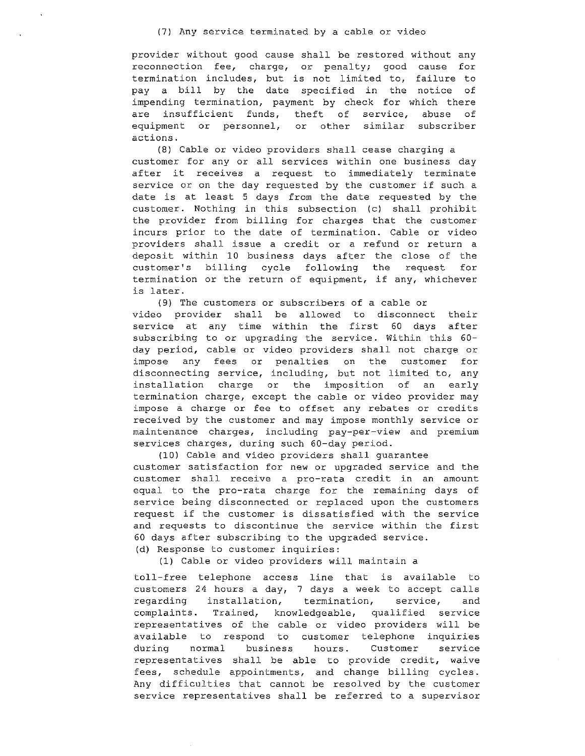(7) Any service terminated by a cable or video

provider without good cause shall be restored without any reconnection fee, charge, or penalty; good cause for termination includes, but is not limited to, failure to pay a bill by the date specified in the notice of impending termination, payment by check for which there are insufficient funds, theft of service, abuse of equipment or personnel, or other similar subscriber actions.

(8) Cable or video providers shall cease charging a customer for any or all services within one business day after it receives a request to immediately terminate service or on the day requested by the customer if such a date is at least 5 days from the date requested by the customer. Nothing in this subsection (c) shall prohibit the provider from billing for charges that the customer incurs prior to the date of termination. Cable or video providers shall issue a credit or a refund or return a deposit within 10 business days after the close of the customer's billing cycle following the request for termination or the return of equipment, if any, whichever is later.

(9) The customers or subscribers of a cable or video provider shall be allowed to disconnect their service at any time within the first 60 days after subscribing to or upgrading the service. Within this 60 day period, cable or video providers shall not charge or impose any fees or penalties on the customer for disconnecting service, including, but not limited to, any installation charge or the imposition of an early termination charge, except the cable or video provider may impose a charge or fee to offset any rebates or credits received by the customer and may impose monthly service or maintenance charges, including pay-per-view and premium services charges, during such 60-day period.

(10) Cable and video providers shall guarantee customer satisfaction for new or upgraded service and the customer shall receive a pro-rata credit in an amount equal to the pro-rata charge for the remaining days of service being disconnected or replaced upon the customers request if the customer is dissatisfied with the service and requests to discontinue the service within the first 60 days after subscribing to the upgraded service. (d) Response to customer inquiries:

(1) Cable or video providers will maintain a

toll-free telephone access line that is available to customers 24 hours a day, 7 days a week to accept calls regarding installation, termination, service, and complaints. Trained, knowledgeable, qualified service representatives of the cable or video providers will be available to respond to customer telephone inquiries during normal business hours. Customer service representatives shall be able to provide credit, waive fees, schedule appointments, and change billing cycles. Any difficulties that cannot be resolved by the customer service representatives shall be referred to a supervisor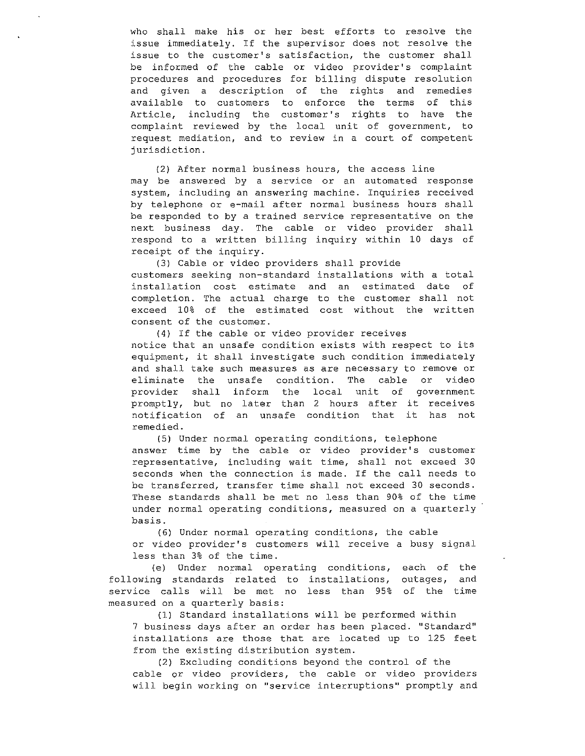who shall make his or her best efforts to resolve the issue immediately. If the supervisor does not resolve the issue to the customer's satisfaction, the customer shall be informed of the cable or video provider's complaint procedures and procedures for billing dispute resolution and given a description of the rights and remedies available to customers to enforce the terms of this Article, including the customer's rights to have the complaint reviewed by the local unit of government, to request mediation, and to review in a court of competent jurisdiction.

{2) After normal business hours, the access line may be answered by a service or an automated response system, including an answering machine. Inquiries received by telephone or e-mail after normal business hours shall be responded to by a trained service representative on the next business day. The cable or video provider shall respond to a written billing inquiry within 10 days of receipt of the inquiry.

(3) Cable or video providers shall provide customers seeking non-standard installations with a total installation cost estimate and an estimated date of completion. The actual charge to the customer shall not exceed 10% of the estimated cost without the written consent of the customer.

(4) If the cable or video provider receives notice that an unsafe condition exists with respect to its equipment, it shall investigate such condition immediately and shall take such measures as are necessary to remove or eliminate the unsafe condition. The cable or video provider shall inform the local unit of government promptly, but no later than 2 hours after it receives notification of an unsafe condition that it has not remedied.

(5) Under normal operating conditions, telephone answer time by the cable or video provider's customer representative, including wait time, shall not exceed 30 seconds when the connection is made. If the call needs to be transferred, transfer time shall not exceed 30 seconds. These standards shall be met no less than 90% of the time under normal operating conditions, measured on a quarterly basis.

(6) Under normal operating conditions, the cable or video provider's customers will receive a busy signal less than 3% of the time.

(e) Under normal operating conditions, each of the following standards related to installations, outages, and service calls will be met no less than 95% of the time measured on a quarterly basis:

(1) Standard installations will be performed within 7 business days after an order has been placed. "Standard" installations are those that are located up to 125 feet from the existing distribution system.

(2) Excluding conditions beyond the control of the cable or video providers, the cable or video providers will begin working on "service interruptions" promptly and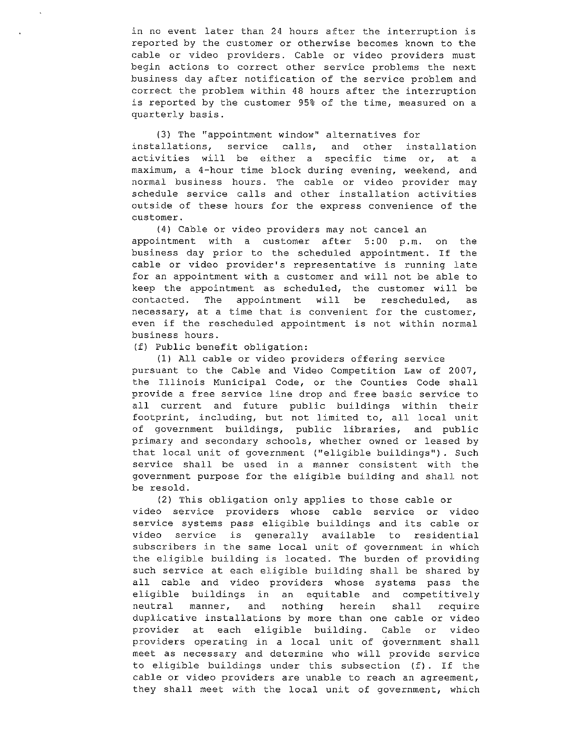in no event later than 24 hours after the interruption is reported by the customer or otherwise becomes known to the cable or video providers. Cable or video providers must begin actions to correct other service problems the next business day after notification of the service problem and correct the problem within 48 hours after the interruption is reported by the customer 95% of the time, measured on a quarterly basis.

{3) The ''appointment window'' alternatives for installations, service calls, and other installation activities will be either a specific time or, at a maximum, a 4-hour time block during evening, weekend, and normal business hours. The cable or video provider may schedule service calls and other installation activities outside of these hours for the express convenience of the customer.

{4) Cable or video providers may not cancel an appointment with a customer after 5:00 p.m. on the business day prior to the scheduled appointment. If the cable or video provider's representative is running late for an appointment with a customer and will not be able to keep the appointment as scheduled, the customer will be contacted. The appointment will be rescheduled, as necessary, at a time that *is* convenient for the customer, even if the rescheduled appointment is not within normal business hours.

(f) Public benefit obligation:

{1) All cable or video providers offering service pursuant to the Cable and Video Competition Law of 2007, the Illinois Municipal Code, or the Counties Code shall provide a free service line drop and free basic service to all current and future public buildings within their footprint, including, but not limited to, all local unit of government buildings, public libraries, and public primary and secondary schools, whether owned or leased by that local unit of government ("eligible buildings"). Such service shall be used in a manner consistent with the government purpose for the eligible building and shall not be resold.

(2) This obligation only applies to those cable or video service providers whose cable service or video service systems pass eligible buildings and its cable or video service is generally available to residential subscribers in the same local unit of government in which the eligible building is located. The burden of providing such service at each eligible building shall be shared by all cable and video providers whose systems pass the eligible buildings in an equitable and competitively neutral manner, and nothing herein shall require duplicative installations by more than one cable or video provider at each eligible building. Cable or video providers operating in a local unit of government shall meet as necessary and determine who will provide service to eligible buildings under this subsection (f). If the cable or video providers are unable to reach an agreement, they shall meet with the local unit of government, which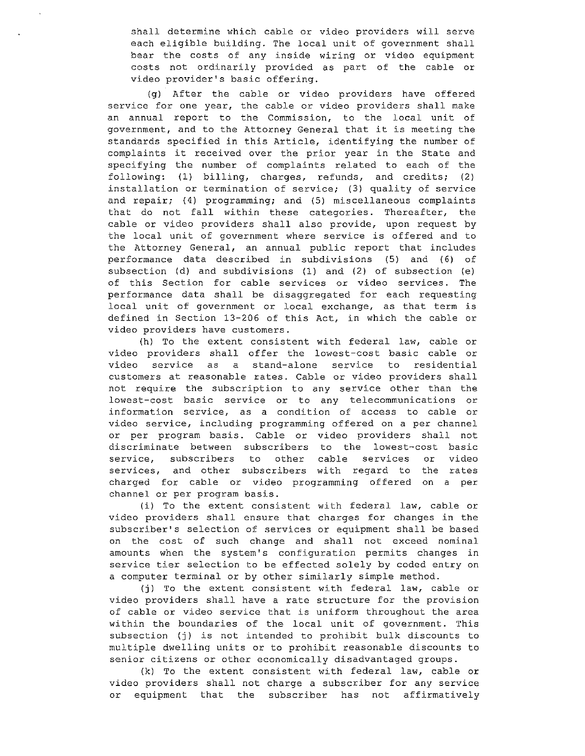shall determine which cable or video providers will serve each eligible building. The local unit of government shall bear the costs of any inside wiring or video equipment costs not ordinarily provided as part of the cable or video provider's basic offering.

(g) After the cable or video providers have offered service for one year, the cable or video providers shall make an annual report to the Commission, to the local unit of government, and to the Attorney General that it is meeting the standards specified in this Article, identifying the number of complaints it received over the prior year in the State and specifying the number of complaints related to each of the following: (1) billing, charges, refunds, and credits; (2) installation or termination of service; (3) quality of service and repair; (4) programming; and (5) miscellaneous complaints that do not fall within these categories. Thereafter, the cable or video providers shall also provide, upon request by the local unit of government where service is offered and to the Attorney General, an annual public report that includes performance data described in subdivisions (5) and (6) of subsection (d) and subdivisions (1) and (2) of subsection (e) of this Section for cable services or video services. The performance data shall be disaggregated for each requesting local unit of government or local exchange, as that term is defined in Section 13-206 of this Act, in which the cable or video providers have customers.

(h) To the extent consistent with federal law, cable or video providers shall offer the lowest-cost basic cable or video service as a stand-alone service to residential customers at reasonable rates. Cable or video providers shall not require the subscription to any service other than the lowest-cost basic service or to any telecommunications or information service, as a condition of access to cable or video service, including programming offered on a per channel or per program basis. Cable or video providers shall not discriminate between subscribers to the lowest-cost basic service, subscribers to other cable services or video services, and other subscribers with regard to the rates charged for cable or video programming offered on a per channel or per program basis.

(i) To the extent consistent with federal law, cable or video providers shall ensure that charges for changes in the subscriber's selection of services or equipment shall be based on the cost of such change and shall not exceed nominal amounts when the system's configuration permits changes in service tier selection to be effected solely by coded entry on a computer terminal or by other similarly simple method.

(j) To the extent consistent with federal law, cable or video providers shall have a rate structure for the provision of cable or video service that is uniform throughout the area within the boundaries of the local unit of government. This subsection (j) is not intended to prohibit bulk discounts to multiple dwelling units or to prohibit reasonable discounts to senior citizens or other economically disadvantaged groups.

(k) To the extent consistent with federal law, cable or video providers shall not charge a subscriber for any service or equipment that the subscriber has not affirmatively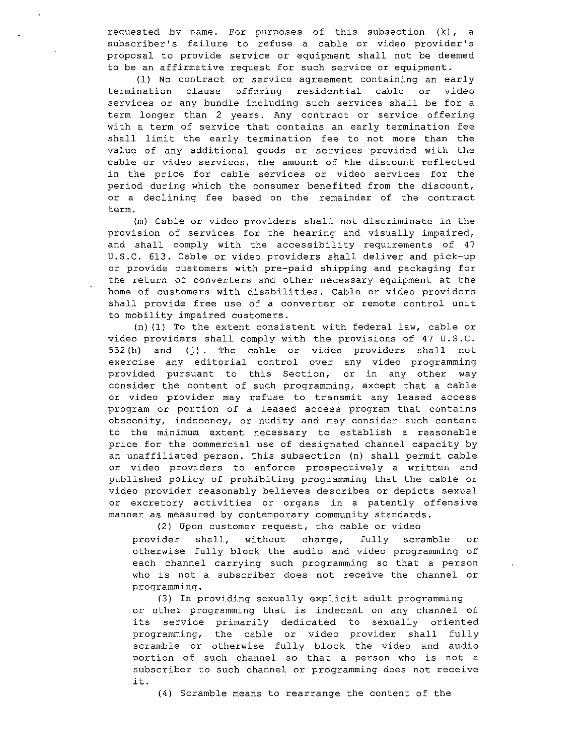requested by name. For purposes of this subsection {k), a subscriber's failure to refuse a cable or video provider's proposal to provide service or equipment shall not be deemed to be an affirmative request for such service or equipment.

(1) No contract or service agreement containing an early termination clause offering residential cable or video services or any bundle including such services shall be for a term longer than 2 years. Any contract or service offering with a term of service that contains an early termination fee shall limit the early termination fee to not more than the value of any additional goods or services provided with the cable or video services, the amount of the discount reflected in the price for cable services or video services for the period during which the consumer benefited from the discount, or a declining fee based on the remainder of the contract term.

(m) Cable or video providers shall not discriminate in the provision of services for the hearing and visually impaired, and shall comply with the accessibility requirements of 47 U.S.C. 613. Cable or video providers shall deliver and pick-up or provide customers with pre-paid shipping and packaging for the return of converters and other necessary equipment at the home of customers with disabilities. Cable or video providers shall provide free use of a converter or remote control unit to mobility impaired customers.

(n) (l) To the extent consistent with federal law, cable or video providers shall comply with the provisions of 47 U.S.C. 532 (h) and (j) . The cable or video providers shall not exercise any editorial control over any video programming provided pursuant to this Section, or in any other way consider the content of such programming, except that a cable or video provider may refuse to transmit any leased access program or portion of a leased access program that contains obscenity, indecency, or nudity and may consider such content to the minimum extent necessary to establish a reasonable price for the commercial use of designated channel capacity by an unaffiliated person. This subsection (n) shall permit cable or video providers to enforce prospectively a written and published policy of prohibiting programming that the cable or video provider reasonably believes describes or depicts sexual or excretory activities or organs in a patently offensive manner as measured by contemporary community standards.

(2) Upon customer request, the cable or video

provider shall, without charge, fully scramble or provider shall, without charge, fully scramble or<br>otherwise fully block the audio and video programming of each channel carrying such programming so that a person who is not a subscriber does not receive the channel or programming.

(3) In providing sexually explicit adult programming or other programming that is indecent on any channel of its service primarily dedicated to sexually oriented programming, the cable or video provider shall fully scramble or otherwise fully block the video and audio portion of such channel so that a person who is not a subscriber to such channel or programming does not receive it.

(4) Scramble means to rearrange the content of the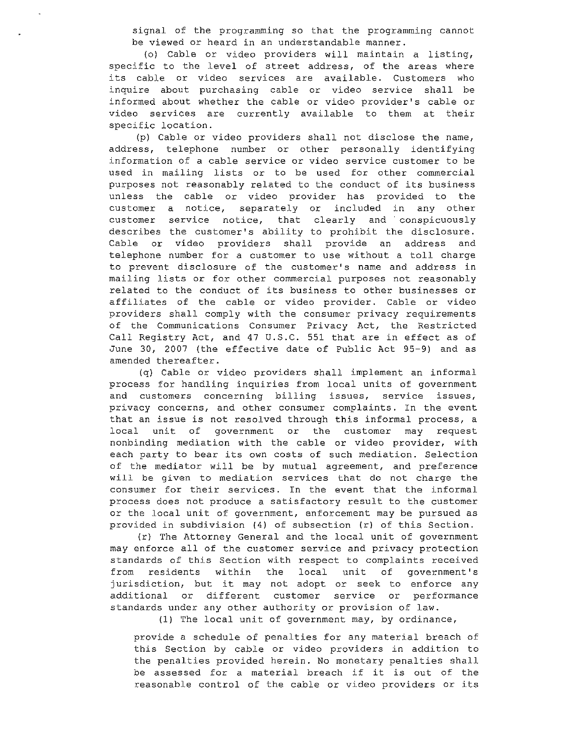signal of the programming so that the programming cannot be viewed or heard in an understandable manner.

(o) Cable or video providers will maintain a listing, specific to the level of street address, of the areas where its cable or video services are available. Customers who inquire about purchasing cable or video service shall be informed about whether the cable or video provider's cable or video services are currently available to them at their specific location.

(p) Cable or video providers shall not disclose the name, address, telephone number or other personally identifying information of a cable service or video service customer to be used in mailing lists or to be used for other commercial purposes not reasonably related to the conduct of its business unless the cable or video provider has provided to the customer a notice, separately or included in any other customer service notice, that clearly and conspicuously describes the customer's ability to prohibit the disclosure. Cable or video providers shall provide an address and telephone number for a customer to use without a toll charge to prevent disclosure of the customer's name and address in mailing lists or for other commercial purposes not reasonably related to the conduct of its business to other businesses or affiliates of the cable or video provider. Cable or video providers shall comply with the consumer privacy requirements of the Communications Consumer Privacy Act, the Restricted Call Registry Act, and 47 U.S.C. 551 that are in effect as of June 30, 2007 (the effective date of Public Act 95-9) and as amended thereafter.

(q) Cable or video providers shall implement an informal process for handling inquiries from local units of government and customers concerning billing issues, service issues, privacy concerns, and other consumer complaints. In the event that an issue is not resolved through this informal process, a local unit of government or the customer may request nonbinding mediation with the cable or video provider, with each party to bear its own costs of such mediation. Selection of the mediator will be by mutual agreement, and preference will be given to mediation services that do not charge the consumer for their services. In the event that the informal process does not produce a satisfactory result to the customer or the local unit of government, enforcement may be pursued as provided in subdivision (4) of subsection (r) of this Section.

(r) The Attorney General and the local unit of government may enforce all of the customer service and privacy protection standards of this Section with respect to complaints received from residents within the local unit of government's jurisdiction, but it may not adopt or seek to enforce any additional or different customer service or performance standards under any other authority or provision of law.

(1) The local unit of government may, by ordinance,

provide a schedule of penalties for any material breach of this Section by cable or video providers in addition to the penalties provided herein. No monetary penalties shall be assessed for a material breach if it is out of the reasonable control of the cable or video providers or its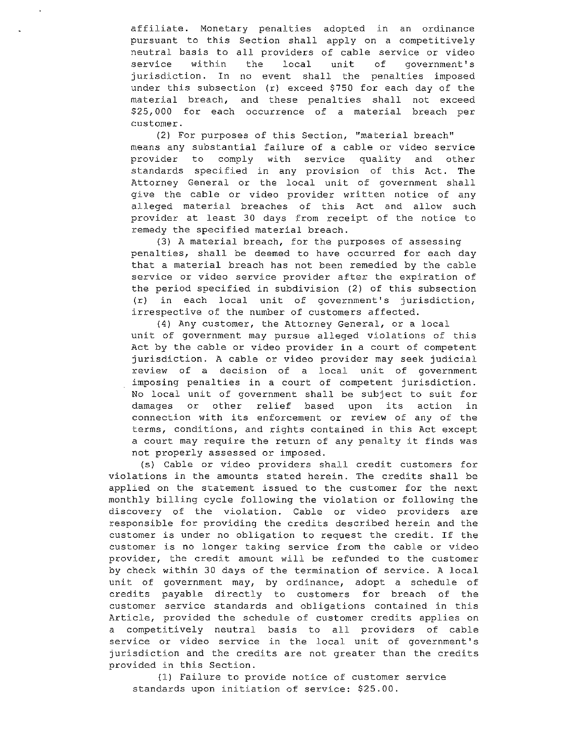affiliate. Monetary penalties adopted in an ordinance pursuant to this Section shall apply on a competitively neutral basis to all providers of cable service or video<br>service within the local unit of government's government's jurisdiction. In no event shall the penalties imposed under this subsection (r) exceed \$750 for each day of the material breach, and these penalties shall not exceed \$25,000 for each occurrence of a material breach per customer.

(2) For purposes of this Section, ''material breach'' means any substantial failure of a cable or video service<br>provider to comply with service quality and other comply with service quality and other standards specified in any provision of this Act. The Attorney General or the local unit of government shall give the cable or video provider written notice of any alleged material breaches of this Act and allow such provider at least 30 days from receipt of the notice to remedy the specified material breach.

(3) A material breach, for the purposes of assessing penalties, shall be deemed to have occurred for each day that a material breach has not been remedied by the cable service or video service provider after the expiration of the period specified in subdivision (2) of this subsection (r) in each local unit of government's jurisdiction, irrespective of the number of customers affected.

(4) Any customer, the Attorney General, or a local unit of government may pursue alleged violations of this Act by the cable or video provider in a court of competent jurisdiction. A cable or video provider may seek judicial review of a decision of a local unit of government imposing penalties in a court of competent jurisdiction. No local unit of government shall be subject to suit for damages or other relief based upon its action in connection with its enforcement or review of any of the terms, conditions, and rights contained in this Act except a court may require the return of any penalty it finds was not properly assessed or imposed.

(s) Cable or video providers shall credit customers for violations in the amounts stated herein. The credits shall be applied on the statement issued to the customer for the next monthly billing cycle following the violation or following the discovery of the violation. Cable or video providers are responsible for providing the credits described herein and the customer is under no obligation to request the credit. If the customer is no longer taking service from the cable or video provider, the credit amount will be refunded to the customer by check within 30 days of the termination of service. A local unit of government may, by ordinance, adopt a schedule of credits payable directly to customers for breach of the customer service standards and obligations contained in this Article, provided the schedule of customer credits applies on a competitively neutral basis to all providers of cable service or video service in the local unit of government's jurisdiction and the credits are not greater than the credits provided in this Section.

(1) Failure to provide notice of customer service standards upon initiation of service: \$25.00.